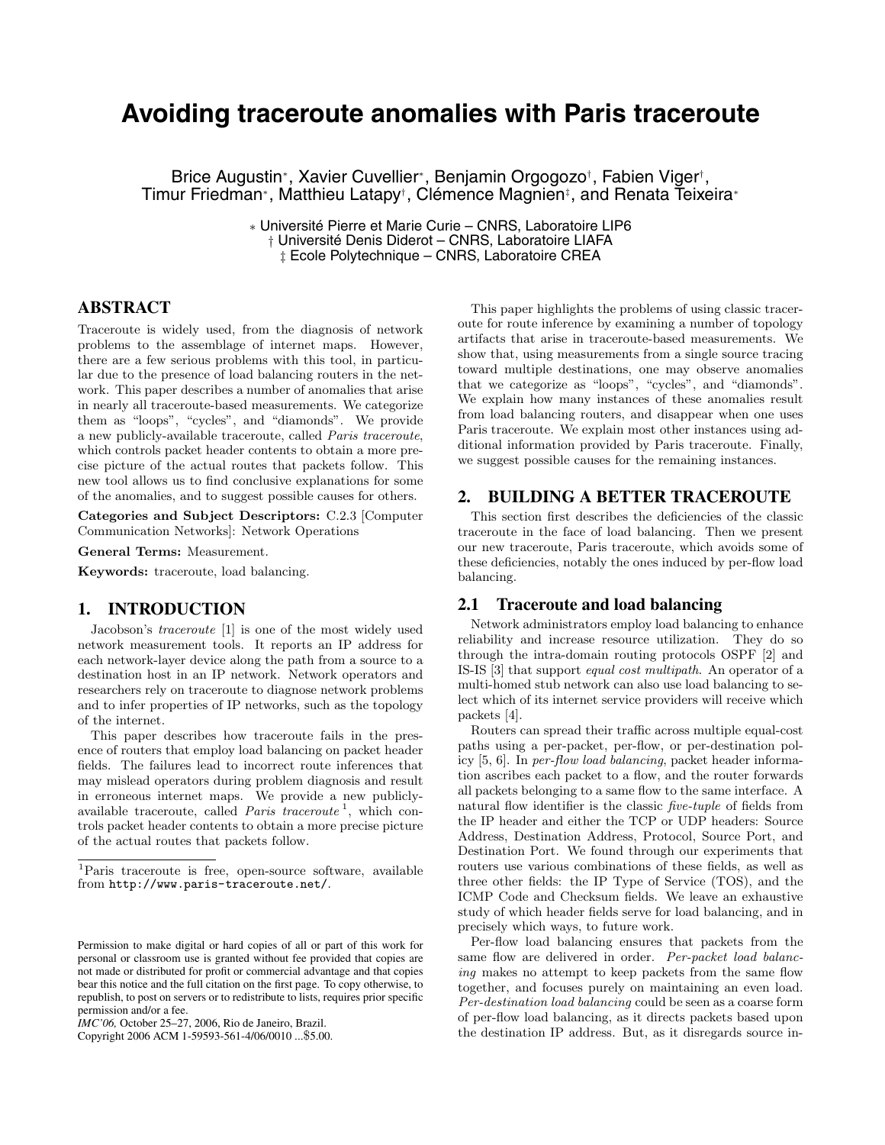# **Avoiding traceroute anomalies with Paris traceroute**

Brice Augustin∗, Xavier Cuvellier∗, Benjamin Orgogozo†, Fabien Viger†, Timur Friedman<sup>∗</sup>, Matthieu Latapy<sup>†</sup>, Clémence Magnien<sup>‡</sup>, and Renata Teixeira<sup>∗</sup>

> ∗ Universite Pierre et Marie Curie – CNRS, Laboratoire LIP6 ´ † Universite Denis Diderot – CNRS, Laboratoire LIAFA ´ ‡ Ecole Polytechnique – CNRS, Laboratoire CREA

# **ABSTRACT**

Traceroute is widely used, from the diagnosis of network problems to the assemblage of internet maps. However, there are a few serious problems with this tool, in particular due to the presence of load balancing routers in the network. This paper describes a number of anomalies that arise in nearly all traceroute-based measurements. We categorize them as "loops", "cycles", and "diamonds". We provide a new publicly-available traceroute, called *Paris traceroute*, which controls packet header contents to obtain a more precise picture of the actual routes that packets follow. This new tool allows us to find conclusive explanations for some of the anomalies, and to suggest possible causes for others.

**Categories and Subject Descriptors:** C.2.3 [Computer Communication Networks]: Network Operations

**General Terms:** Measurement.

**Keywords:** traceroute, load balancing.

# **1. INTRODUCTION**

Jacobson's *traceroute* [1] is one of the most widely used network measurement tools. It reports an IP address for each network-layer device along the path from a source to a destination host in an IP network. Network operators and researchers rely on traceroute to diagnose network problems and to infer properties of IP networks, such as the topology of the internet.

This paper describes how traceroute fails in the presence of routers that employ load balancing on packet header fields. The failures lead to incorrect route inferences that may mislead operators during problem diagnosis and result in erroneous internet maps. We provide a new publiclyavailable traceroute, called *Paris traceroute* <sup>1</sup>, which controls packet header contents to obtain a more precise picture of the actual routes that packets follow.

Copyright 2006 ACM 1-59593-561-4/06/0010 ...\$5.00.

This paper highlights the problems of using classic traceroute for route inference by examining a number of topology artifacts that arise in traceroute-based measurements. We show that, using measurements from a single source tracing toward multiple destinations, one may observe anomalies that we categorize as "loops", "cycles", and "diamonds". We explain how many instances of these anomalies result from load balancing routers, and disappear when one uses Paris traceroute. We explain most other instances using additional information provided by Paris traceroute. Finally, we suggest possible causes for the remaining instances.

# **2. BUILDING A BETTER TRACEROUTE**

This section first describes the deficiencies of the classic traceroute in the face of load balancing. Then we present our new traceroute, Paris traceroute, which avoids some of these deficiencies, notably the ones induced by per-flow load balancing.

# **2.1 Traceroute and load balancing**

Network administrators employ load balancing to enhance reliability and increase resource utilization. They do so through the intra-domain routing protocols OSPF [2] and IS-IS [3] that support *equal cost multipath*. An operator of a multi-homed stub network can also use load balancing to select which of its internet service providers will receive which packets [4].

Routers can spread their traffic across multiple equal-cost paths using a per-packet, per-flow, or per-destination policy [5, 6]. In *per-flow load balancing*, packet header information ascribes each packet to a flow, and the router forwards all packets belonging to a same flow to the same interface. A natural flow identifier is the classic *five-tuple* of fields from the IP header and either the TCP or UDP headers: Source Address, Destination Address, Protocol, Source Port, and Destination Port. We found through our experiments that routers use various combinations of these fields, as well as three other fields: the IP Type of Service (TOS), and the ICMP Code and Checksum fields. We leave an exhaustive study of which header fields serve for load balancing, and in precisely which ways, to future work.

Per-flow load balancing ensures that packets from the same flow are delivered in order. *Per-packet load balancing* makes no attempt to keep packets from the same flow together, and focuses purely on maintaining an even load. *Per-destination load balancing* could be seen as a coarse form of per-flow load balancing, as it directs packets based upon the destination IP address. But, as it disregards source in-

<sup>1</sup>Paris traceroute is free, open-source software, available from http://www.paris-traceroute.net/.

Permission to make digital or hard copies of all or part of this work for personal or classroom use is granted without fee provided that copies are not made or distributed for profit or commercial advantage and that copies bear this notice and the full citation on the first page. To copy otherwise, to republish, to post on servers or to redistribute to lists, requires prior specific permission and/or a fee.

*IMC'06,* October 25–27, 2006, Rio de Janeiro, Brazil.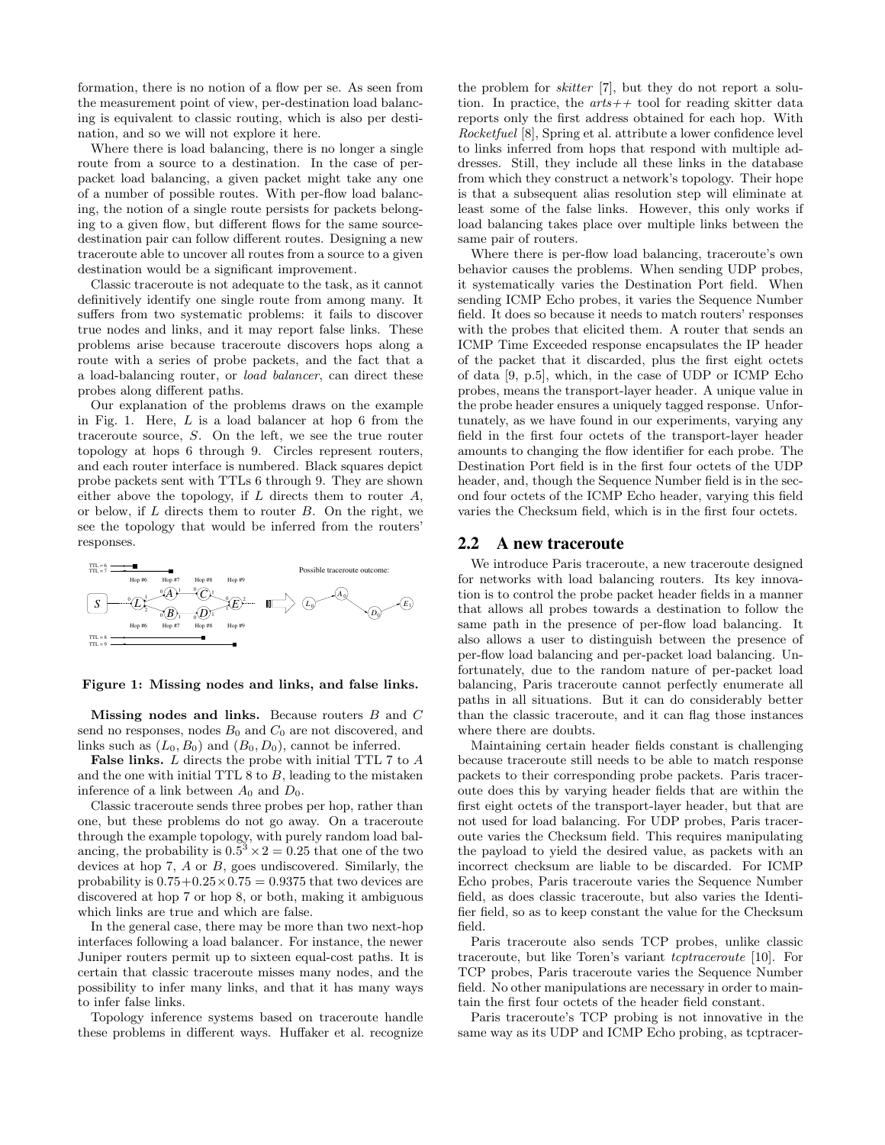formation, there is no notion of a flow per se. As seen from the measurement point of view, per-destination load balancing is equivalent to classic routing, which is also per destination, and so we will not explore it here.

Where there is load balancing, there is no longer a single route from a source to a destination. In the case of perpacket load balancing, a given packet might take any one of a number of possible routes. With per-flow load balancing, the notion of a single route persists for packets belonging to a given flow, but different flows for the same sourcedestination pair can follow different routes. Designing a new traceroute able to uncover all routes from a source to a given destination would be a significant improvement.

Classic traceroute is not adequate to the task, as it cannot definitively identify one single route from among many. It suffers from two systematic problems: it fails to discover true nodes and links, and it may report false links. These problems arise because traceroute discovers hops along a route with a series of probe packets, and the fact that a a load-balancing router, or *load balancer*, can direct these probes along different paths.

Our explanation of the problems draws on the example in Fig. 1. Here,  $L$  is a load balancer at hop 6 from the traceroute source, S. On the left, we see the true router topology at hops 6 through 9. Circles represent routers, and each router interface is numbered. Black squares depict probe packets sent with TTLs 6 through 9. They are shown either above the topology, if  $L$  directs them to router  $A$ , or below, if  $L$  directs them to router  $B$ . On the right, we see the topology that would be inferred from the routers' responses.



**Figure 1: Missing nodes and links, and false links.**

**Missing nodes and links.** Because routers B and C send no responses, nodes  $B_0$  and  $C_0$  are not discovered, and links such as  $(L_0, B_0)$  and  $(B_0, D_0)$ , cannot be inferred.

False links. L directs the probe with initial TTL 7 to A and the one with initial TTL 8 to B, leading to the mistaken inference of a link between  $A_0$  and  $D_0$ .

Classic traceroute sends three probes per hop, rather than one, but these problems do not go away. On a traceroute through the example topology, with purely random load balancing, the probability is  $0.5^3 \times 2 = 0.25$  that one of the two devices at hop 7, A or B, goes undiscovered. Similarly, the probability is  $0.75+0.25\times0.75=0.9375$  that two devices are discovered at hop 7 or hop 8, or both, making it ambiguous which links are true and which are false.

In the general case, there may be more than two next-hop interfaces following a load balancer. For instance, the newer Juniper routers permit up to sixteen equal-cost paths. It is certain that classic traceroute misses many nodes, and the possibility to infer many links, and that it has many ways to infer false links.

Topology inference systems based on traceroute handle these problems in different ways. Huffaker et al. recognize the problem for *skitter* [7], but they do not report a solution. In practice, the *arts++* tool for reading skitter data reports only the first address obtained for each hop. With *Rocketfuel* [8], Spring et al. attribute a lower confidence level to links inferred from hops that respond with multiple addresses. Still, they include all these links in the database from which they construct a network's topology. Their hope is that a subsequent alias resolution step will eliminate at least some of the false links. However, this only works if load balancing takes place over multiple links between the same pair of routers.

Where there is per-flow load balancing, traceroute's own behavior causes the problems. When sending UDP probes, it systematically varies the Destination Port field. When sending ICMP Echo probes, it varies the Sequence Number field. It does so because it needs to match routers' responses with the probes that elicited them. A router that sends an ICMP Time Exceeded response encapsulates the IP header of the packet that it discarded, plus the first eight octets of data [9, p.5], which, in the case of UDP or ICMP Echo probes, means the transport-layer header. A unique value in the probe header ensures a uniquely tagged response. Unfortunately, as we have found in our experiments, varying any field in the first four octets of the transport-layer header amounts to changing the flow identifier for each probe. The Destination Port field is in the first four octets of the UDP header, and, though the Sequence Number field is in the second four octets of the ICMP Echo header, varying this field varies the Checksum field, which is in the first four octets.

## **2.2 A new traceroute**

We introduce Paris traceroute, a new traceroute designed for networks with load balancing routers. Its key innovation is to control the probe packet header fields in a manner that allows all probes towards a destination to follow the same path in the presence of per-flow load balancing. It also allows a user to distinguish between the presence of per-flow load balancing and per-packet load balancing. Unfortunately, due to the random nature of per-packet load balancing, Paris traceroute cannot perfectly enumerate all paths in all situations. But it can do considerably better than the classic traceroute, and it can flag those instances where there are doubts.

Maintaining certain header fields constant is challenging because traceroute still needs to be able to match response packets to their corresponding probe packets. Paris traceroute does this by varying header fields that are within the first eight octets of the transport-layer header, but that are not used for load balancing. For UDP probes, Paris traceroute varies the Checksum field. This requires manipulating the payload to yield the desired value, as packets with an incorrect checksum are liable to be discarded. For ICMP Echo probes, Paris traceroute varies the Sequence Number field, as does classic traceroute, but also varies the Identifier field, so as to keep constant the value for the Checksum field.

Paris traceroute also sends TCP probes, unlike classic traceroute, but like Toren's variant *tcptraceroute* [10]. For TCP probes, Paris traceroute varies the Sequence Number field. No other manipulations are necessary in order to maintain the first four octets of the header field constant.

Paris traceroute's TCP probing is not innovative in the same way as its UDP and ICMP Echo probing, as tcptracer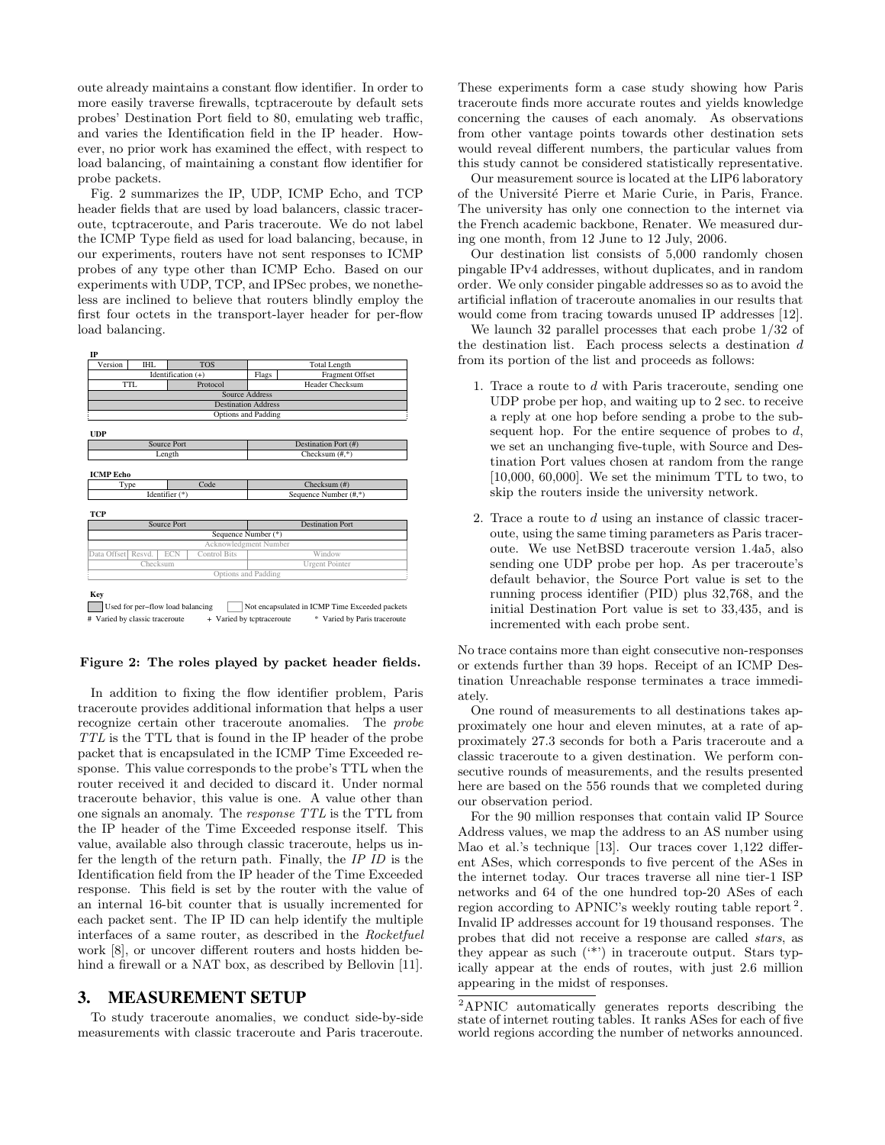oute already maintains a constant flow identifier. In order to more easily traverse firewalls, tcptraceroute by default sets probes' Destination Port field to 80, emulating web traffic, and varies the Identification field in the IP header. However, no prior work has examined the effect, with respect to load balancing, of maintaining a constant flow identifier for probe packets.

Fig. 2 summarizes the IP, UDP, ICMP Echo, and TCP header fields that are used by load balancers, classic traceroute, tcptraceroute, and Paris traceroute. We do not label the ICMP Type field as used for load balancing, because, in our experiments, routers have not sent responses to ICMP probes of any type other than ICMP Echo. Based on our experiments with UDP, TCP, and IPSec probes, we nonetheless are inclined to believe that routers blindly employ the first four octets in the transport-layer header for per-flow load balancing.



#### **Figure 2: The roles played by packet header fields.**

In addition to fixing the flow identifier problem, Paris traceroute provides additional information that helps a user recognize certain other traceroute anomalies. The *probe TTL* is the TTL that is found in the IP header of the probe packet that is encapsulated in the ICMP Time Exceeded response. This value corresponds to the probe's TTL when the router received it and decided to discard it. Under normal traceroute behavior, this value is one. A value other than one signals an anomaly. The *response TTL* is the TTL from the IP header of the Time Exceeded response itself. This value, available also through classic traceroute, helps us infer the length of the return path. Finally, the *IP ID* is the Identification field from the IP header of the Time Exceeded response. This field is set by the router with the value of an internal 16-bit counter that is usually incremented for each packet sent. The IP ID can help identify the multiple interfaces of a same router, as described in the *Rocketfuel* work [8], or uncover different routers and hosts hidden behind a firewall or a NAT box, as described by Bellovin [11].

# **3. MEASUREMENT SETUP**

To study traceroute anomalies, we conduct side-by-side measurements with classic traceroute and Paris traceroute. These experiments form a case study showing how Paris traceroute finds more accurate routes and yields knowledge concerning the causes of each anomaly. As observations from other vantage points towards other destination sets would reveal different numbers, the particular values from this study cannot be considered statistically representative.

Our measurement source is located at the LIP6 laboratory of the Universit´e Pierre et Marie Curie, in Paris, France. The university has only one connection to the internet via the French academic backbone, Renater. We measured during one month, from 12 June to 12 July, 2006.

Our destination list consists of 5,000 randomly chosen pingable IPv4 addresses, without duplicates, and in random order. We only consider pingable addresses so as to avoid the artificial inflation of traceroute anomalies in our results that would come from tracing towards unused IP addresses [12].

We launch 32 parallel processes that each probe 1/32 of the destination list. Each process selects a destination d from its portion of the list and proceeds as follows:

- 1. Trace a route to d with Paris traceroute, sending one UDP probe per hop, and waiting up to 2 sec. to receive a reply at one hop before sending a probe to the subsequent hop. For the entire sequence of probes to  $d$ , we set an unchanging five-tuple, with Source and Destination Port values chosen at random from the range [10,000, 60,000]. We set the minimum TTL to two, to skip the routers inside the university network.
- 2. Trace a route to d using an instance of classic traceroute, using the same timing parameters as Paris traceroute. We use NetBSD traceroute version 1.4a5, also sending one UDP probe per hop. As per traceroute's default behavior, the Source Port value is set to the running process identifier (PID) plus 32,768, and the initial Destination Port value is set to 33,435, and is incremented with each probe sent.

No trace contains more than eight consecutive non-responses or extends further than 39 hops. Receipt of an ICMP Destination Unreachable response terminates a trace immediately.

One round of measurements to all destinations takes approximately one hour and eleven minutes, at a rate of approximately 27.3 seconds for both a Paris traceroute and a classic traceroute to a given destination. We perform consecutive rounds of measurements, and the results presented here are based on the 556 rounds that we completed during our observation period.

For the 90 million responses that contain valid IP Source Address values, we map the address to an AS number using Mao et al.'s technique [13]. Our traces cover 1,122 different ASes, which corresponds to five percent of the ASes in the internet today. Our traces traverse all nine tier-1 ISP networks and 64 of the one hundred top-20 ASes of each region according to APNIC's weekly routing table report <sup>2</sup>. Invalid IP addresses account for 19 thousand responses. The probes that did not receive a response are called *stars*, as they appear as such  $($ <sup>\*\*</sup> $)$  in traceroute output. Stars typically appear at the ends of routes, with just 2.6 million appearing in the midst of responses.

<sup>2</sup>APNIC automatically generates reports describing the state of internet routing tables. It ranks ASes for each of five world regions according the number of networks announced.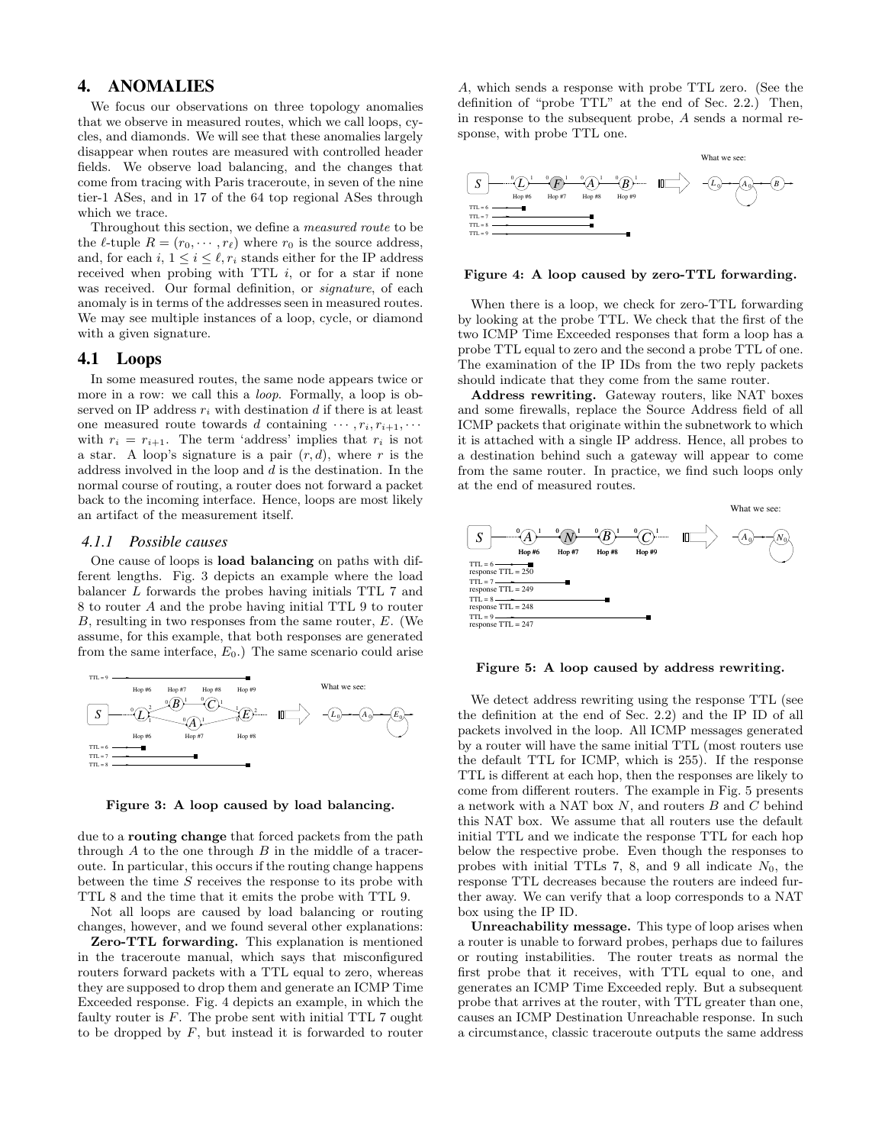# **4. ANOMALIES**

We focus our observations on three topology anomalies that we observe in measured routes, which we call loops, cycles, and diamonds. We will see that these anomalies largely disappear when routes are measured with controlled header fields. We observe load balancing, and the changes that come from tracing with Paris traceroute, in seven of the nine tier-1 ASes, and in 17 of the 64 top regional ASes through which we trace.

Throughout this section, we define a *measured route* to be the  $\ell$ -tuple  $R = (r_0, \dots, r_\ell)$  where  $r_0$  is the source address, and, for each i,  $1 \leq i \leq \ell, r_i$  stands either for the IP address received when probing with TTL  $i$ , or for a star if none was received. Our formal definition, or *signature*, of each anomaly is in terms of the addresses seen in measured routes. We may see multiple instances of a loop, cycle, or diamond with a given signature.

## **4.1 Loops**

In some measured routes, the same node appears twice or more in a row: we call this a *loop*. Formally, a loop is observed on IP address  $r_i$  with destination d if there is at least one measured route towards d containing  $\cdots$ ,  $r_i$ ,  $r_{i+1}$ ,  $\cdots$ with  $r_i = r_{i+1}$ . The term 'address' implies that  $r_i$  is not a star. A loop's signature is a pair  $(r, d)$ , where r is the address involved in the loop and  $d$  is the destination. In the normal course of routing, a router does not forward a packet back to the incoming interface. Hence, loops are most likely an artifact of the measurement itself.

### *4.1.1 Possible causes*

One cause of loops is **load balancing** on paths with different lengths. Fig. 3 depicts an example where the load balancer L forwards the probes having initials TTL 7 and 8 to router A and the probe having initial TTL 9 to router B, resulting in two responses from the same router, E. (We assume, for this example, that both responses are generated from the same interface,  $E_0$ .) The same scenario could arise



**Figure 3: A loop caused by load balancing.**

due to a **routing change** that forced packets from the path through  $A$  to the one through  $B$  in the middle of a traceroute. In particular, this occurs if the routing change happens between the time S receives the response to its probe with TTL 8 and the time that it emits the probe with TTL 9.

Not all loops are caused by load balancing or routing changes, however, and we found several other explanations:

**Zero-TTL forwarding.** This explanation is mentioned in the traceroute manual, which says that misconfigured routers forward packets with a TTL equal to zero, whereas they are supposed to drop them and generate an ICMP Time Exceeded response. Fig. 4 depicts an example, in which the faulty router is  $F$ . The probe sent with initial TTL 7 ought to be dropped by  $F$ , but instead it is forwarded to router

A, which sends a response with probe TTL zero. (See the definition of "probe TTL" at the end of Sec. 2.2.) Then, in response to the subsequent probe, A sends a normal response, with probe TTL one.



#### **Figure 4: A loop caused by zero-TTL forwarding.**

When there is a loop, we check for zero-TTL forwarding by looking at the probe TTL. We check that the first of the two ICMP Time Exceeded responses that form a loop has a probe TTL equal to zero and the second a probe TTL of one. The examination of the IP IDs from the two reply packets should indicate that they come from the same router.

**Address rewriting.** Gateway routers, like NAT boxes and some firewalls, replace the Source Address field of all ICMP packets that originate within the subnetwork to which it is attached with a single IP address. Hence, all probes to a destination behind such a gateway will appear to come from the same router. In practice, we find such loops only at the end of measured routes.



#### **Figure 5: A loop caused by address rewriting.**

We detect address rewriting using the response TTL (see the definition at the end of Sec. 2.2) and the IP ID of all packets involved in the loop. All ICMP messages generated by a router will have the same initial TTL (most routers use the default TTL for ICMP, which is 255). If the response TTL is different at each hop, then the responses are likely to come from different routers. The example in Fig. 5 presents a network with a NAT box  $N$ , and routers  $B$  and  $C$  behind this NAT box. We assume that all routers use the default initial TTL and we indicate the response TTL for each hop below the respective probe. Even though the responses to probes with initial TTLs 7, 8, and 9 all indicate  $N_0$ , the response TTL decreases because the routers are indeed further away. We can verify that a loop corresponds to a NAT box using the IP ID.

**Unreachability message.** This type of loop arises when a router is unable to forward probes, perhaps due to failures or routing instabilities. The router treats as normal the first probe that it receives, with TTL equal to one, and generates an ICMP Time Exceeded reply. But a subsequent probe that arrives at the router, with TTL greater than one, causes an ICMP Destination Unreachable response. In such a circumstance, classic traceroute outputs the same address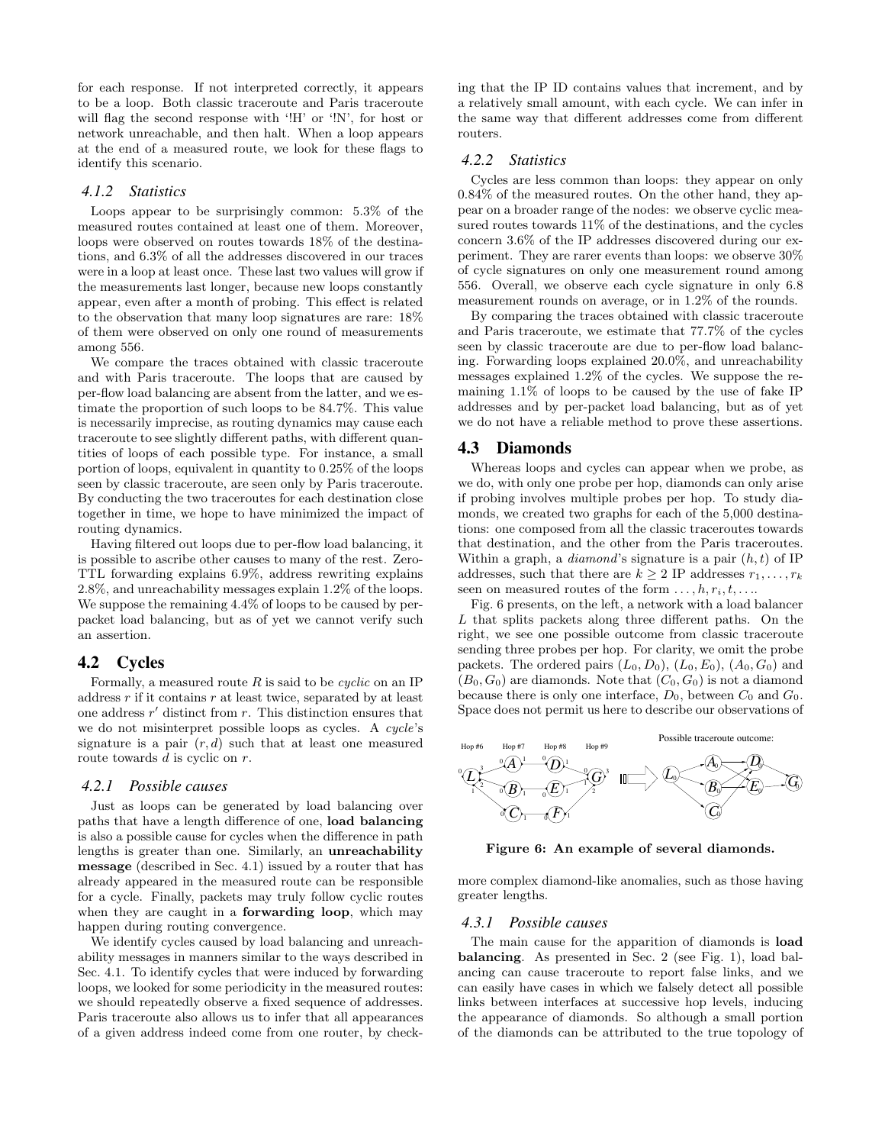for each response. If not interpreted correctly, it appears to be a loop. Both classic traceroute and Paris traceroute will flag the second response with '!H' or '!N', for host or network unreachable, and then halt. When a loop appears at the end of a measured route, we look for these flags to identify this scenario.

## *4.1.2 Statistics*

Loops appear to be surprisingly common: 5.3% of the measured routes contained at least one of them. Moreover, loops were observed on routes towards 18% of the destinations, and 6.3% of all the addresses discovered in our traces were in a loop at least once. These last two values will grow if the measurements last longer, because new loops constantly appear, even after a month of probing. This effect is related to the observation that many loop signatures are rare: 18% of them were observed on only one round of measurements among 556.

We compare the traces obtained with classic traceroute and with Paris traceroute. The loops that are caused by per-flow load balancing are absent from the latter, and we estimate the proportion of such loops to be 84.7%. This value is necessarily imprecise, as routing dynamics may cause each traceroute to see slightly different paths, with different quantities of loops of each possible type. For instance, a small portion of loops, equivalent in quantity to 0.25% of the loops seen by classic traceroute, are seen only by Paris traceroute. By conducting the two traceroutes for each destination close together in time, we hope to have minimized the impact of routing dynamics.

Having filtered out loops due to per-flow load balancing, it is possible to ascribe other causes to many of the rest. Zero-TTL forwarding explains 6.9%, address rewriting explains 2.8%, and unreachability messages explain 1.2% of the loops. We suppose the remaining 4.4% of loops to be caused by perpacket load balancing, but as of yet we cannot verify such an assertion.

# **4.2 Cycles**

Formally, a measured route  $R$  is said to be *cyclic* on an IP address  $r$  if it contains  $r$  at least twice, separated by at least one address  $r'$  distinct from  $r$ . This distinction ensures that we do not misinterpret possible loops as cycles. A *cycle*'s signature is a pair  $(r, d)$  such that at least one measured route towards  $d$  is cyclic on  $r$ .

#### *4.2.1 Possible causes*

Just as loops can be generated by load balancing over paths that have a length difference of one, **load balancing** is also a possible cause for cycles when the difference in path lengths is greater than one. Similarly, an **unreachability message** (described in Sec. 4.1) issued by a router that has already appeared in the measured route can be responsible for a cycle. Finally, packets may truly follow cyclic routes when they are caught in a **forwarding loop**, which may happen during routing convergence.

We identify cycles caused by load balancing and unreachability messages in manners similar to the ways described in Sec. 4.1. To identify cycles that were induced by forwarding loops, we looked for some periodicity in the measured routes: we should repeatedly observe a fixed sequence of addresses. Paris traceroute also allows us to infer that all appearances of a given address indeed come from one router, by checking that the IP ID contains values that increment, and by a relatively small amount, with each cycle. We can infer in the same way that different addresses come from different routers.

### *4.2.2 Statistics*

Cycles are less common than loops: they appear on only 0.84% of the measured routes. On the other hand, they appear on a broader range of the nodes: we observe cyclic measured routes towards 11% of the destinations, and the cycles concern 3.6% of the IP addresses discovered during our experiment. They are rarer events than loops: we observe 30% of cycle signatures on only one measurement round among 556. Overall, we observe each cycle signature in only 6.8 measurement rounds on average, or in 1.2% of the rounds.

By comparing the traces obtained with classic traceroute and Paris traceroute, we estimate that 77.7% of the cycles seen by classic traceroute are due to per-flow load balancing. Forwarding loops explained 20.0%, and unreachability messages explained 1.2% of the cycles. We suppose the remaining 1.1% of loops to be caused by the use of fake IP addresses and by per-packet load balancing, but as of yet we do not have a reliable method to prove these assertions.

#### **4.3 Diamonds**

Whereas loops and cycles can appear when we probe, as we do, with only one probe per hop, diamonds can only arise if probing involves multiple probes per hop. To study diamonds, we created two graphs for each of the 5,000 destinations: one composed from all the classic traceroutes towards that destination, and the other from the Paris traceroutes. Within a graph, a  $diamond'$ s signature is a pair  $(h, t)$  of IP addresses, such that there are  $k \geq 2$  IP addresses  $r_1, \ldots, r_k$ seen on measured routes of the form  $\dots, h, r_i, t, \dots$ 

Fig. 6 presents, on the left, a network with a load balancer L that splits packets along three different paths. On the right, we see one possible outcome from classic traceroute sending three probes per hop. For clarity, we omit the probe packets. The ordered pairs  $(L_0, D_0)$ ,  $(L_0, E_0)$ ,  $(A_0, G_0)$  and  $(B_0, G_0)$  are diamonds. Note that  $(C_0, G_0)$  is not a diamond because there is only one interface,  $D_0$ , between  $C_0$  and  $G_0$ . Space does not permit us here to describe our observations of



**Figure 6: An example of several diamonds.**

more complex diamond-like anomalies, such as those having greater lengths.

#### *4.3.1 Possible causes*

The main cause for the apparition of diamonds is **load balancing**. As presented in Sec. 2 (see Fig. 1), load balancing can cause traceroute to report false links, and we can easily have cases in which we falsely detect all possible links between interfaces at successive hop levels, inducing the appearance of diamonds. So although a small portion of the diamonds can be attributed to the true topology of